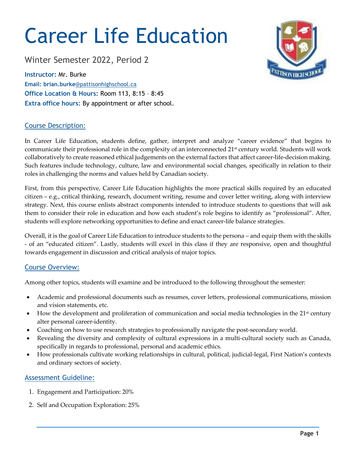# Career Life Education

Winter Semester 2022, Period 2

**Instructor:** Mr. Burke **Email: brian.burke**@pattisonhighschool.ca **Office Location & Hours:** Room 113, 8:15 – 8:45 **Extra office hours:** By appointment or after school.

## Course Description:

In Career Life Education, students define, gather, interpret and analyze "career evidence" that begins to communicate their professional role in the complexity of an interconnected  $21<sup>st</sup>$  century world. Students will work collaboratively to create reasoned ethical judgements on the external factors that affect career-life-decision making. Such features include technology, culture, law and environmental social changes, specifically in relation to their roles in challenging the norms and values held by Canadian society.

First, from this perspective, Career Life Education highlights the more practical skills required by an educated citizen – e.g., critical thinking, research, document writing, resume and cover letter writing, along with interview strategy. Next, this course enlists abstract components intended to introduce students to questions that will ask them to consider their role in education and how each student's role begins to identify as "professional". After, students will explore networking opportunities to define and enact career-life balance strategies.

Overall, it is the goal of Career Life Education to introduce students to the persona – and equip them with the skills - of an "educated citizen". Lastly, students will excel in this class if they are responsive, open and thoughtful towards engagement in discussion and critical analysis of major topics.

## Course Overview:

Among other topics, students will examine and be introduced to the following throughout the semester:

- Academic and professional documents such as resumes, cover letters, professional communications, mission and vision statements, etc.
- How the development and proliferation of communication and social media technologies in the 21st century alter personal career-identity.
- Coaching on how to use research strategies to professionally navigate the post-secondary world.
- Revealing the diversity and complexity of cultural expressions in a multi-cultural society such as Canada, specifically in regards to professional, personal and academic ethics.
- How professionals cultivate working relationships in cultural, political, judicial-legal, First Nation's contexts and ordinary sectors of society.

## Assessment Guideline:

- 1. Engagement and Participation: 20%
- 2. Self and Occupation Exploration: 25%